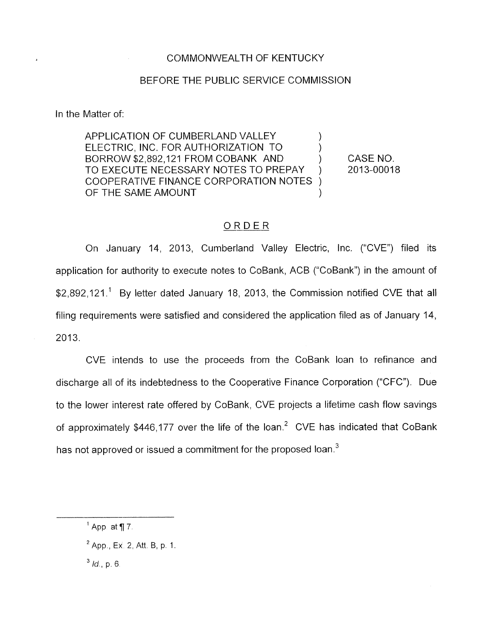## COMMONWEALTH OF KENTUCKY

## BEFORE THE PUBLIC SERVICE COMMISSION

In the Matter of:

APPLICATION OF CUMBERLAND VALLEY ELECTRIC, INC. FOR AUTHORIZATION TO ) BORROW \$2,892,121 FROM COBANK AND (CASE NO. TO EXECUTE NECESSARY NOTES TO PREPAY ) 2013-00018 COOPERATIVE FINANCE CORPORATION NOTES OF THE SAME AMOUNT

## ORDER

On January 14, 2013, Cumberland Valley Electric, Inc. ("CVE") filed its application for authority to execute notes to CoBank, ACB ("CoBank") in the amount of \$2,892,121.<sup>1</sup> By letter dated January 18, 2013, the Commission notified CVE that all filing requirements were satisfied and considered the application filed as of January 14, 2013.

CVE intends to use the proceeds from the CoBank loan to refinance and discharge all of its indebtedness to the Cooperative Finance Corporation ("CFC"). Due to the lower interest rate offered by CoBank, CVE projects a lifetime cash flow savings of approximately \$446,177 over the life of the loan.<sup>2</sup> CVE has indicated that CoBank has not approved or issued a commitment for the proposed loan. $3$ 

 $^4$  App. at  $\P$  7.

<sup>&</sup>lt;sup>2</sup> App., Ex. 2, Att. B, p. 1.

*Id,* p. 6 *3*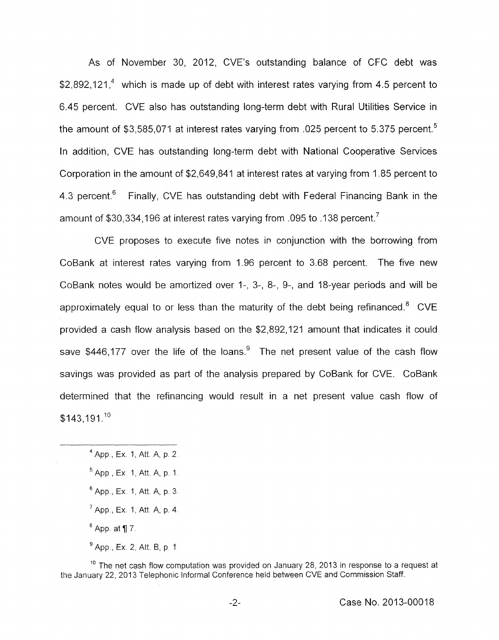As of November 30, 2012, CVE's outstanding balance of CFC debt was \$2,892,121,<sup>4</sup> which is made up of debt with interest rates varying from 4.5 percent to 6.45 percent. CVE also has outstanding long-term debt with Rural Utilities Service in the amount of \$3,585,071 at interest rates varying from .025 percent to 5.375 percent.<sup>5</sup> In addition, CVE has outstanding long-term debt with National Cooperative Services Corporation in the amount of \$2,649,841 at interest rates at varying from 1.85 percent to 4.3 percent. $6$  Finally, CVE has outstanding debt with Federal Financing Bank in the amount of \$30,334,196 at interest rates varying from .095 to .138 percent.<sup>7</sup>

CVE proposes to execute five notes in conjunction with the borrowing from CoBank at interest rates varying from 1.96 percent to 3.68 percent. The five new CoBank notes would be amortized over I-, 3-, 8-, 9-, and 18-year periods and will be approximately equal to or less than the maturity of the debt being refinanced.<sup>8</sup> CVE provided a cash flow analysis based on the \$2,892,121 amount that indicates it could saye \$446,177 over the life of the loans. $9$  The net present value of the cash flow savings was provided as part of the analysis prepared by CoBank for CVE. CoBank determined that the refinancing would result in a net present value cash flow of  $$143,191.<sup>10</sup>$ 

 $10$  The net cash flow computation was provided on January 28, 2013 in response to a request at the January 22, 2013 Telephonic Informal Conference held between CVE and Commission Staff.

<sup>&</sup>lt;sup>4</sup> App., Ex. 1, Att. A, p. 2.

 $5$  App., Ex. 1, Att, A, p, 1,

<sup>&</sup>lt;sup>6</sup> App., Ex. 1, Att. A, p. 3.

<sup>&</sup>lt;sup>7</sup> App., Ex. 1, Att. A, p. 4.

 $8$  App. at  $\P$  7.

<sup>&</sup>lt;sup>9</sup> App., Ex. 2, Att. B, p. 1.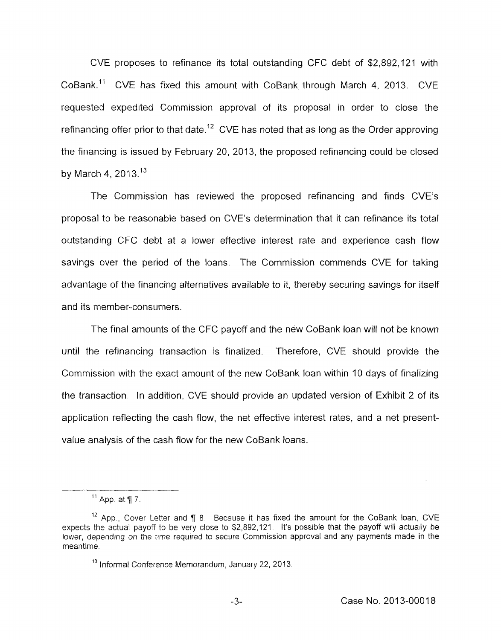CVE proposes to refinance its total outstanding CFC debt of \$2,892,121 with CoBank." CVE has fixed this amount with CoBank through March **4,** 2013. CVE requested expedited Commission approval of its proposal in order to close the refinancing offer prior to that date.12 CVE has noted that *as* long as the Order approving the financing is issued by February 20, 2013, the proposed refinancing could be closed by March **4,** 2013.13

The Commission has reviewed the proposed refinancing and finds CVE's proposal to be reasonable based on CVE's determination that it can refinance its total outstanding CFC debt at a lower effective interest rate and experience cash flow savings over the period of the loans. The Commission commends CVE for taking advantage of the financing alternatives available to it, thereby securing savings for itself and its member-consumers.

The final amounts of the CFC payoff and the new CoBank loan will not be known until the refinancing transaction is finalized. Therefore, CVE should provide the Commission with the exact amount of the new CoBank loan within 10 days of finalizing the transaction In addition, CVE should provide an updated version of Exhibit 2 of its application reflecting the cash flow, the net effective interest rates, and a net presentvalue analysis of the cash flow for the new CoBank loans.

 $<sup>11</sup>$  App. at ¶ 7.</sup>

<sup>&</sup>lt;sup>12</sup> App., Cover Letter and ¶ 8. Because it has fixed the amount for the CoBank loan, CVE expects the actual payoff to be very close to \$2,892,121 It's possible that the payoff will actually be lower, depending on the time required to secure Commission approval and any payments made in the meantime

<sup>&</sup>lt;sup>13</sup> Informal Conference Memorandum, January 22, 2013.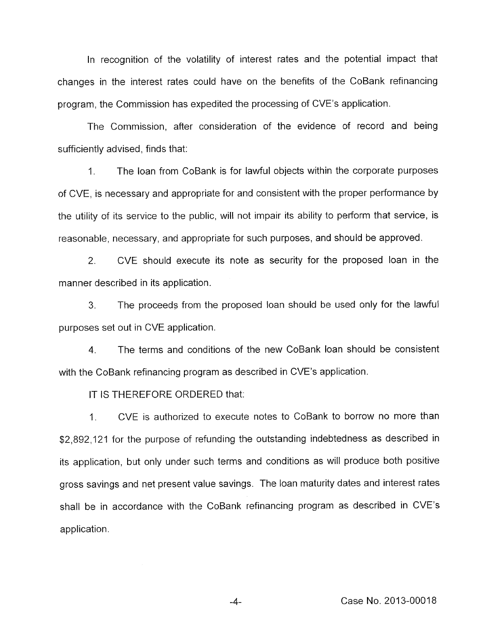In recognition of the volatility of interest rates and the potential impact that changes in the interest rates could have on the benefits of the CoBank refinancing program, the Commission has expedited the processing of CVE's application.

The Commission, after consideration of the evidence of record and being sufficiently advised, finds that:

1. The loan from CoBank is for lawful objects within the corporate purposes of CVE, is necessary and appropriate for and consistent with the proper performance by the utility of its service to the public, will not impair its ability to perform that service, is reasonable, necessary, and appropriate for such purposes, and should be approved.

2. CVE should execute its note as security for the proposed loan in the manner described in its application.

3. The proceeds from the proposed loan should be used only for the lawful purposes set out in CVE application.

4. The terms and conditions of the new CoBank loan should be consistent with the CoBank refinancing program as described in CVE's application.

IT IS THEREFORE ORDERED that:

1. CVE is authorized to execute notes to CoBank to borrow no more than \$2,892,121 for the purpose of refunding the outstanding indebtedness as described in its application, but only under such terms and conditions as will produce both positive gross savings and net present value savings. The loan maturity dates and interest rates shall be in accordance with the CoBank refinancing program as described in CVE's application.

**-4-** Case No. 201 3-0001 8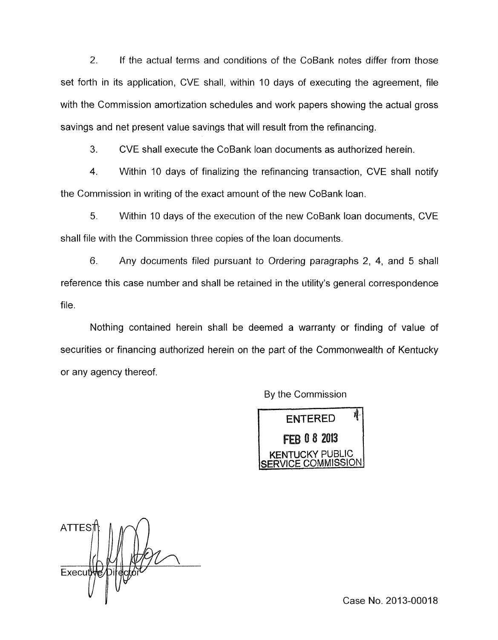2. If the actual terms and conditions of the CoBank notes differ from those set forth in its application, CVE shall, within 10 days of executing the agreement, file with the Commission amortization schedules and work papers showing the actual gross savings and net present value savings that will result from the refinancing.

**3.** CVE shall execute the CoBank loan documents as authorized herein.

4. Within 10 days of finalizing the refinancing transaction, CVE shall notify the Commission in writing of the exact amount of the new CoBank loan.

*5.* Within 10 days of the execution of the new CoBank loan documents, CVE shall file with the Commission three copies of the loan documents.

*6.* Any documents filed pursuant to Ordering paragraphs 2, 4, and 5 shall reference this case number and shall be retained in the utility's general correspondence file.

Nothing contained herein shall be deemed a warranty or finding of value of securities or financing authorized herein on the part of the Commonwealth of Kentucky or any agency thereof.

By the Commission



**ATTES** Execut

Case No. 2013-00018